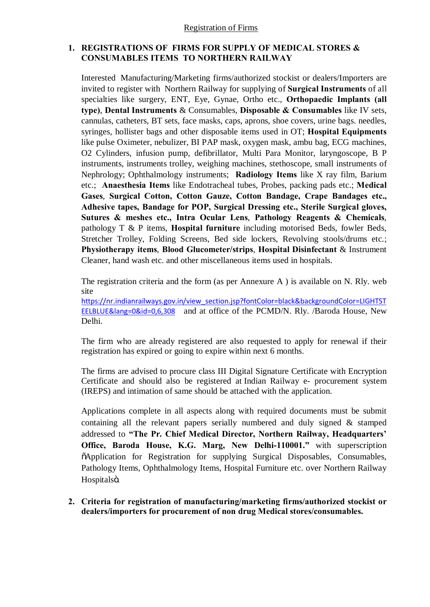## **1. REGISTRATIONS OF FIRMS FOR SUPPLY OF MEDICAL STORES & CONSUMABLES ITEMS TO NORTHERN RAILWAY**

Interested Manufacturing/Marketing firms/authorized stockist or dealers/Importers are invited to register with Northern Railway for supplying of **Surgical Instruments** of all specialties like surgery, ENT, Eye, Gynae, Ortho etc., **Orthopaedic Implants (all type)**, **Dental Instruments** & Consumables, **Disposable & Consumables** like IV sets, cannulas, catheters, BT sets, face masks, caps, aprons, shoe covers, urine bags. needles, syringes, hollister bags and other disposable items used in OT; **Hospital Equipments** like pulse Oximeter, nebulizer, BI PAP mask, oxygen mask, ambu bag, ECG machines, O2 Cylinders, infusion pump, defibrillator, Multi Para Monitor, laryngoscope, B P instruments, instruments trolley, weighing machines, stethoscope, small instruments of Nephrology; Ophthalmology instruments; **Radiology Items** like X ray film, Barium etc.; **Anaesthesia Items** like Endotracheal tubes, Probes, packing pads etc.; **Medical Gases**, **Surgical Cotton, Cotton Gauze, Cotton Bandage, Crape Bandages etc., Adhesive tapes, Bandage for POP, Surgical Dressing etc., Sterile Surgical gloves, Sutures & meshes etc., Intra Ocular Lens**, **Pathology Reagents & Chemicals**, pathology T & P items, **Hospital furniture** including motorised Beds, fowler Beds, Stretcher Trolley, Folding Screens, Bed side lockers, Revolving stools/drums etc.; **Physiotherapy items**, **Blood Glucometer/strips**, **Hospital Disinfectant** & Instrument Cleaner, hand wash etc. and other miscellaneous items used in hospitals.

The registration criteria and the form (as per Annexure A ) is available on N. Rly. web site

https://nr.indianrailways.gov.in/view\_section.jsp?fontColor=black&backgroundColor=LIGHTST EELBLUE&lang=0&id=0,6,308 and at office of the PCMD/N. Rly. /Baroda House, New Delhi.

The firm who are already registered are also requested to apply for renewal if their registration has expired or going to expire within next 6 months.

The firms are advised to procure class III Digital Signature Certificate with Encryption Certificate and should also be registered at Indian Railway e- procurement system (IREPS) and intimation of same should be attached with the application.

Applications complete in all aspects along with required documents must be submit containing all the relevant papers serially numbered and duly signed & stamped addressed to **"The Pr. Chief Medical Director, Northern Railway, Headquarters' Office, Baroda House, K.G. Marg, New Delhi-110001."** with superscription "Application for Registration for supplying Surgical Disposables, Consumables, Pathology Items, Ophthalmology Items, Hospital Furniture etc. over Northern Railway Hospitalsö.

**2. Criteria for registration of manufacturing/marketing firms/authorized stockist or dealers/importers for procurement of non drug Medical stores/consumables.**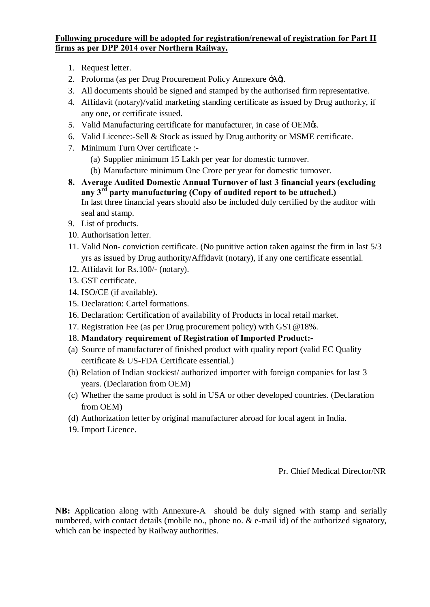## **Following procedure will be adopted for registration/renewal of registration for Part II firms as per DPP 2014 over Northern Railway.**

- 1. Request letter.
- 2. Proforma (as per Drug Procurement Policy Annexure  $\div A\phi$ ).
- 3. All documents should be signed and stamped by the authorised firm representative.
- 4. Affidavit (notary)/valid marketing standing certificate as issued by Drug authority, if any one, or certificate issued.
- 5. Valid Manufacturing certificate for manufacturer, in case of OEM $\alpha$ s.
- 6. Valid Licence:-Sell & Stock as issued by Drug authority or MSME certificate.
- 7. Minimum Turn Over certificate :-
	- (a) Supplier minimum 15 Lakh per year for domestic turnover.
	- (b) Manufacture minimum One Crore per year for domestic turnover.
- **8. Average Audited Domestic Annual Turnover of last 3 financial years (excluding any 3rd party manufacturing (Copy of audited report to be attached.)**  In last three financial years should also be included duly certified by the auditor with seal and stamp.
- 9. List of products.
- 10. Authorisation letter.
- 11. Valid Non- conviction certificate. (No punitive action taken against the firm in last 5/3 yrs as issued by Drug authority/Affidavit (notary), if any one certificate essential.
- 12. Affidavit for Rs.100/- (notary).
- 13. GST certificate.
- 14. ISO/CE (if available).
- 15. Declaration: Cartel formations.
- 16. Declaration: Certification of availability of Products in local retail market.
- 17. Registration Fee (as per Drug procurement policy) with GST@18%.
- 18. **Mandatory requirement of Registration of Imported Product:-**
- (a) Source of manufacturer of finished product with quality report (valid EC Quality certificate & US-FDA Certificate essential.)
- (b) Relation of Indian stockiest/ authorized importer with foreign companies for last 3 years. (Declaration from OEM)
- (c) Whether the same product is sold in USA or other developed countries. (Declaration from OEM)
- (d) Authorization letter by original manufacturer abroad for local agent in India.
- 19. Import Licence.

Pr. Chief Medical Director/NR

**NB:** Application along with Annexure-A should be duly signed with stamp and serially numbered, with contact details (mobile no., phone no. & e-mail id) of the authorized signatory, which can be inspected by Railway authorities.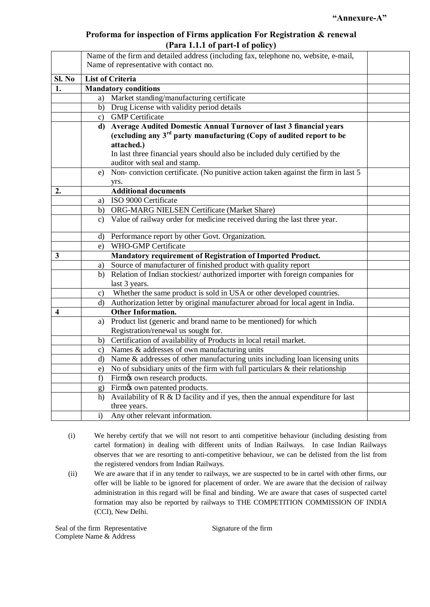## **Proforma for inspection of Firms application For Registration & renewal (Para 1.1.1 of part-I of policy)**

|              |                             | $\mathbf{u}$ and $\mathbf{u}$ and $\mathbf{v}$ part to point $\mathbf{v}$                                                       |  |
|--------------|-----------------------------|---------------------------------------------------------------------------------------------------------------------------------|--|
|              |                             | Name of the firm and detailed address (including fax, telephone no, website, e-mail,<br>Name of representative with contact no. |  |
| Sl. No       |                             | <b>List of Criteria</b>                                                                                                         |  |
| 1.           | <b>Mandatory conditions</b> |                                                                                                                                 |  |
|              |                             | a) Market standing/manufacturing certificate                                                                                    |  |
|              |                             | b) Drug License with validity period details                                                                                    |  |
|              |                             | c) GMP Certificate                                                                                                              |  |
|              |                             | d) Average Audited Domestic Annual Turnover of last 3 financial years                                                           |  |
|              |                             | (excluding any 3 <sup>rd</sup> party manufacturing (Copy of audited report to be                                                |  |
|              |                             | attached.)                                                                                                                      |  |
|              |                             | In last three financial years should also be included duly certified by the                                                     |  |
|              |                             | auditor with seal and stamp.                                                                                                    |  |
|              |                             | e) Non-conviction certificate. (No punitive action taken against the firm in last 5                                             |  |
|              |                             | yrs.                                                                                                                            |  |
| 2.           |                             | <b>Additional documents</b>                                                                                                     |  |
|              | a)                          | ISO 9000 Certificate                                                                                                            |  |
|              |                             | b) ORG-MARG NIELSEN Certificate (Market Share)                                                                                  |  |
|              |                             | c) Value of railway order for medicine received during the last three year.                                                     |  |
|              |                             | d) Performance report by other Govt. Organization.                                                                              |  |
|              | e)                          | <b>WHO-GMP Certificate</b>                                                                                                      |  |
| $\mathbf{3}$ |                             | Mandatory requirement of Registration of Imported Product.                                                                      |  |
|              | a)                          | Source of manufacturer of finished product with quality report                                                                  |  |
|              | b)                          | Relation of Indian stockiest/ authorized importer with foreign companies for<br>last 3 years.                                   |  |
|              | C)                          | Whether the same product is sold in USA or other developed countries.                                                           |  |
|              |                             | d) Authorization letter by original manufacturer abroad for local agent in India.                                               |  |
| 4            |                             | <b>Other Information.</b>                                                                                                       |  |
|              |                             | a) Product list (generic and brand name to be mentioned) for which                                                              |  |
|              |                             | Registration/renewal us sought for.                                                                                             |  |
|              |                             | b) Certification of availability of Products in local retail market.                                                            |  |
|              | $\mathbf{c}$                | Names & addresses of own manufacturing units                                                                                    |  |
|              | d)                          | Name & addresses of other manufacturing units including loan licensing units                                                    |  |
|              |                             | e) No of subsidiary units of the firm with full particulars $\&$ their relationship                                             |  |
|              | f)                          | Firmos own research products.                                                                                                   |  |
|              |                             | g) Firmøs own patented products.                                                                                                |  |
|              | h)                          | Availability of $R \& D$ facility and if yes, then the annual expenditure for last                                              |  |
|              |                             | three years.                                                                                                                    |  |
|              | $\mathbf{i}$                | Any other relevant information.                                                                                                 |  |

- (i) We hereby certify that we will not resort to anti competitive behaviour (including desisting from cartel formation) in dealing with different units of Indian Railways. In case Indian Railways observes that we are resorting to anti-competitive behaviour, we can be delisted from the list from the registered vendors from Indian Railways.
- (ii) We are aware that if in any tender to railways, we are suspected to be in cartel with other firms, our offer will be liable to be ignored for placement of order. We are aware that the decision of railway administration in this regard will be final and binding. We are aware that cases of suspected cartel formation may also be reported by railways to THE COMPETITION COMMISSION OF INDIA (CCI), New Delhi.

Seal of the firm Representative Signature of the firm Complete Name & Address